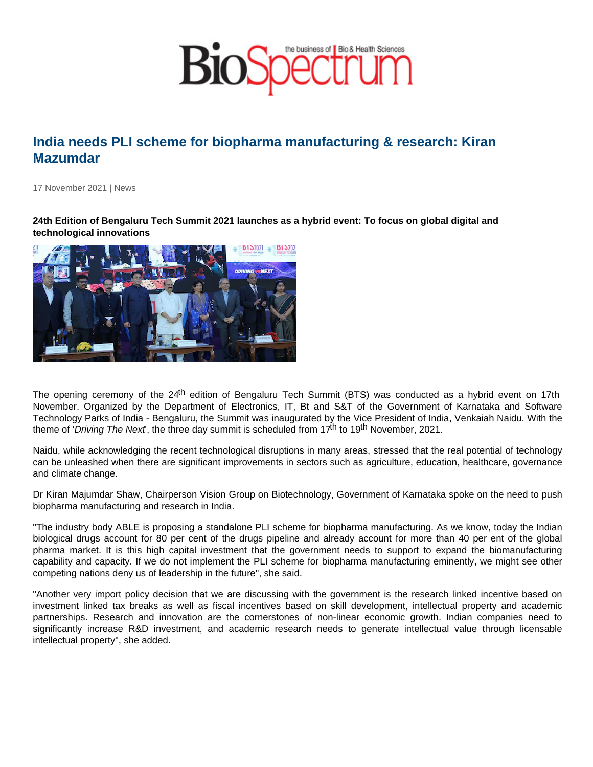## India needs PLI scheme for biopharma manufacturing & research: Kiran Mazumdar

17 November 2021 | News

24th Edition of Bengaluru Tech Summit 2021 launches as a hybrid event: To focus on global digital and technological innovations

The opening ceremony of the 24<sup>th</sup> edition of Bengaluru Tech Summit (BTS) was conducted as a hybrid event on 17th November. Organized by the Department of Electronics, IT, Bt and S&T of the Government of Karnataka and Software Technology Parks of India - Bengaluru, the Summit was inaugurated by the Vice President of India, Venkaiah Naidu. With the theme of 'Driving The Next', the three day summit is scheduled from  $17<sup>th</sup>$  to  $19<sup>th</sup>$  November, 2021.

Naidu, while acknowledging the recent technological disruptions in many areas, stressed that the real potential of technology can be unleashed when there are significant improvements in sectors such as agriculture, education, healthcare, governance and climate change.

Dr Kiran Majumdar Shaw, Chairperson Vision Group on Biotechnology, Government of Karnataka spoke on the need to push biopharma manufacturing and research in India.

"The industry body ABLE is proposing a standalone PLI scheme for biopharma manufacturing. As we know, today the Indian biological drugs account for 80 per cent of the drugs pipeline and already account for more than 40 per ent of the global pharma market. It is this high capital investment that the government needs to support to expand the biomanufacturing capability and capacity. If we do not implement the PLI scheme for biopharma manufacturing eminently, we might see other competing nations deny us of leadership in the future", she said.

"Another very import policy decision that we are discussing with the government is the research linked incentive based on investment linked tax breaks as well as fiscal incentives based on skill development, intellectual property and academic partnerships. Research and innovation are the cornerstones of non-linear economic growth. Indian companies need to significantly increase R&D investment, and academic research needs to generate intellectual value through licensable intellectual property", she added.